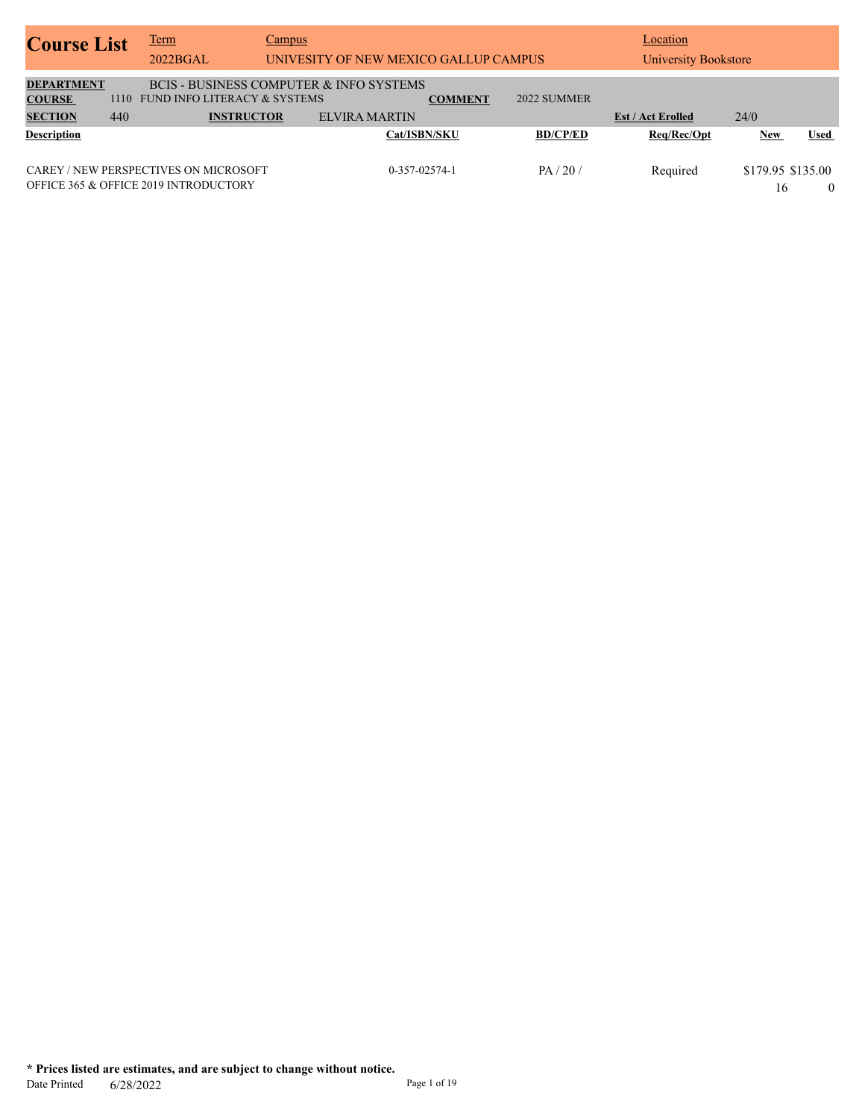| <b>Course List</b>                                   |             | <u>Term</u><br>2022BGAL                                                                                 | Campus | UNIVESITY OF NEW MEXICO GALLUP CAMPUS |                |                 | Location<br>University Bookstore |                         |                |
|------------------------------------------------------|-------------|---------------------------------------------------------------------------------------------------------|--------|---------------------------------------|----------------|-----------------|----------------------------------|-------------------------|----------------|
| <b>DEPARTMENT</b><br><b>COURSE</b><br><b>SECTION</b> | 1110<br>440 | <b>BCIS - BUSINESS COMPUTER &amp; INFO SYSTEMS</b><br>FUND INFO LITERACY & SYSTEMS<br><b>INSTRUCTOR</b> |        | <b>ELVIRA MARTIN</b>                  | <b>COMMENT</b> | 2022 SUMMER     | <b>Est / Act Erolled</b>         | 24/0                    |                |
| <b>Description</b>                                   |             |                                                                                                         |        | Cat/ISBN/SKU                          |                | <b>BD/CP/ED</b> | Req/Rec/Opt                      | <b>New</b>              | Used           |
|                                                      |             | CAREY / NEW PERSPECTIVES ON MICROSOFT<br><b>OFFICE 365 &amp; OFFICE 2019 INTRODUCTORY</b>               |        | $0-357-02574-1$                       |                | PA/20/          | Required                         | \$179.95 \$135.00<br>16 | $\overline{0}$ |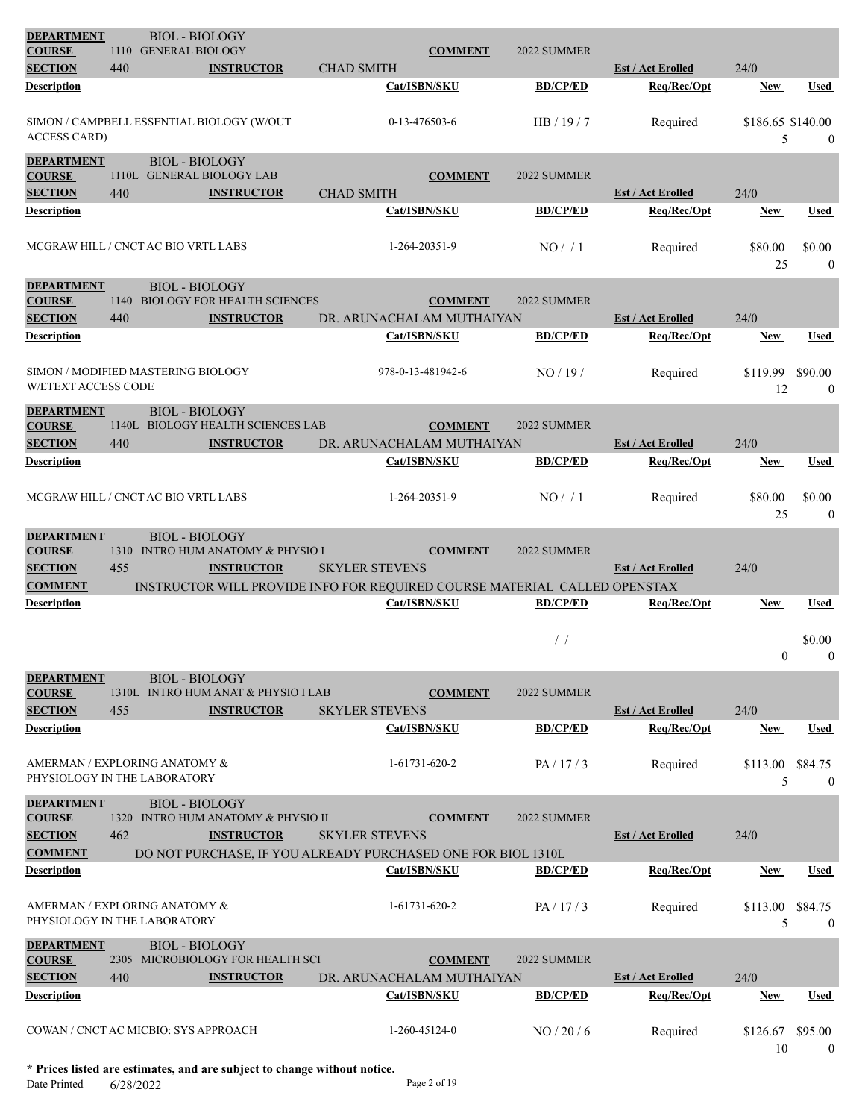| <b>DEPARTMENT</b><br><b>COURSE</b>                                     | 1110        | <b>BIOL - BIOLOGY</b><br><b>GENERAL BIOLOGY</b>                                                                                                              |                           | <b>COMMENT</b>    | 2022 SUMMER     |                          |                        |                             |
|------------------------------------------------------------------------|-------------|--------------------------------------------------------------------------------------------------------------------------------------------------------------|---------------------------|-------------------|-----------------|--------------------------|------------------------|-----------------------------|
| <b>SECTION</b>                                                         | 440         | <b>INSTRUCTOR</b>                                                                                                                                            | <b>CHAD SMITH</b>         |                   |                 | <b>Est / Act Erolled</b> | 24/0                   |                             |
| Description                                                            |             |                                                                                                                                                              |                           | Cat/ISBN/SKU      | <b>BD/CP/ED</b> | Req/Rec/Opt              | <b>New</b>             | <b>Used</b>                 |
| <b>ACCESS CARD)</b>                                                    |             | SIMON / CAMPBELL ESSENTIAL BIOLOGY (W/OUT                                                                                                                    |                           | 0-13-476503-6     | HB / 19 / 7     | Required                 | \$186.65 \$140.00<br>5 | $\mathbf{0}$                |
| <b>DEPARTMENT</b><br><b>COURSE</b><br><b>SECTION</b>                   | 440         | <b>BIOL - BIOLOGY</b><br>1110L GENERAL BIOLOGY LAB<br><b>INSTRUCTOR</b>                                                                                      | <b>CHAD SMITH</b>         | <b>COMMENT</b>    | 2022 SUMMER     | <b>Est / Act Erolled</b> | 24/0                   |                             |
| Description                                                            |             |                                                                                                                                                              |                           | Cat/ISBN/SKU      | <b>BD/CP/ED</b> | Req/Rec/Opt              | New                    | Used                        |
|                                                                        |             | MCGRAW HILL / CNCT AC BIO VRTL LABS                                                                                                                          |                           | 1-264-20351-9     | NO/1            | Required                 | \$80.00<br>25          | \$0.00<br>$\mathbf{0}$      |
| <b>DEPARTMENT</b><br><b>COURSE</b><br><b>SECTION</b>                   | 440         | <b>BIOL - BIOLOGY</b><br>1140 BIOLOGY FOR HEALTH SCIENCES<br><b>INSTRUCTOR</b>                                                                               | DR. ARUNACHALAM MUTHAIYAN | <b>COMMENT</b>    | 2022 SUMMER     | <b>Est / Act Erolled</b> | 24/0                   |                             |
| Description                                                            |             |                                                                                                                                                              |                           | Cat/ISBN/SKU      | <b>BD/CP/ED</b> | Req/Rec/Opt              | <b>New</b>             | Used                        |
| <b>W/ETEXT ACCESS CODE</b>                                             |             | SIMON / MODIFIED MASTERING BIOLOGY                                                                                                                           |                           | 978-0-13-481942-6 | NO/19/          | Required                 | \$119.99<br>12         | \$90.00<br>$\mathbf{0}$     |
| <b>DEPARTMENT</b><br><b>COURSE</b><br><b>SECTION</b>                   | 440         | <b>BIOL - BIOLOGY</b><br>1140L BIOLOGY HEALTH SCIENCES LAB<br><b>INSTRUCTOR</b>                                                                              | DR. ARUNACHALAM MUTHAIYAN | <b>COMMENT</b>    | 2022 SUMMER     | <b>Est / Act Erolled</b> | 24/0                   |                             |
| Description                                                            |             |                                                                                                                                                              |                           | Cat/ISBN/SKU      | <b>BD/CP/ED</b> | Req/Rec/Opt              | <b>New</b>             | <b>Used</b>                 |
|                                                                        |             | MCGRAW HILL / CNCT AC BIO VRTL LABS                                                                                                                          |                           | 1-264-20351-9     | NO/1            | Required                 | \$80.00<br>25          | \$0.00<br>$\mathbf{0}$      |
| <b>DEPARTMENT</b><br><b>COURSE</b><br><b>SECTION</b><br><b>COMMENT</b> | 455         | <b>BIOL - BIOLOGY</b><br>1310 INTRO HUM ANATOMY & PHYSIO I<br><b>INSTRUCTOR</b><br>INSTRUCTOR WILL PROVIDE INFO FOR REQUIRED COURSE MATERIAL CALLED OPENSTAX | <b>SKYLER STEVENS</b>     | <b>COMMENT</b>    | 2022 SUMMER     | <b>Est / Act Erolled</b> | 24/0                   |                             |
| Description                                                            |             |                                                                                                                                                              |                           | Cat/ISBN/SKU      | <b>BD/CP/ED</b> | Req/Rec/Opt              | <b>New</b>             | Used                        |
|                                                                        |             |                                                                                                                                                              |                           |                   | $/$ /           |                          | $\mathbf{0}$           | \$0.00<br>$\boldsymbol{0}$  |
| <b>DEPARTMENT</b><br><b>COURSE</b>                                     |             | <b>BIOL - BIOLOGY</b><br>1310L INTRO HUM ANAT & PHYSIO I LAB                                                                                                 |                           | <b>COMMENT</b>    | 2022 SUMMER     |                          |                        |                             |
| <b>SECTION</b>                                                         | 455         | <b>INSTRUCTOR</b>                                                                                                                                            | <b>SKYLER STEVENS</b>     |                   |                 | <b>Est / Act Erolled</b> | 24/0                   |                             |
| Description                                                            |             |                                                                                                                                                              |                           | Cat/ISBN/SKU      | <b>BD/CP/ED</b> | Req/Rec/Opt              | <b>New</b>             | Used                        |
| PHYSIOLOGY IN THE LABORATORY                                           |             | AMERMAN / EXPLORING ANATOMY &                                                                                                                                |                           | 1-61731-620-2     | PA/17/3         | Required                 | \$113.00 \$84.75<br>5  | $\overline{0}$              |
| <b>DEPARTMENT</b><br><b>COURSE</b><br><b>SECTION</b>                   | 462         | <b>BIOL - BIOLOGY</b><br>1320 INTRO HUM ANATOMY & PHYSIO II<br><b>INSTRUCTOR</b>                                                                             | <b>SKYLER STEVENS</b>     | <b>COMMENT</b>    | 2022 SUMMER     | <b>Est / Act Erolled</b> | 24/0                   |                             |
| <b>COMMENT</b>                                                         |             | DO NOT PURCHASE, IF YOU ALREADY PURCHASED ONE FOR BIOL 1310L                                                                                                 |                           |                   |                 |                          |                        |                             |
| <b>Description</b>                                                     |             |                                                                                                                                                              |                           | Cat/ISBN/SKU      | <b>BD/CP/ED</b> | Req/Rec/Opt              | <b>New</b>             | <b>Used</b>                 |
| PHYSIOLOGY IN THE LABORATORY                                           |             | AMERMAN / EXPLORING ANATOMY &                                                                                                                                |                           | 1-61731-620-2     | PA/17/3         | Required                 | \$113.00<br>5          | \$84.75<br>$\boldsymbol{0}$ |
| <b>DEPARTMENT</b><br><b>COURSE</b><br><b>SECTION</b>                   | 2305<br>440 | <b>BIOL - BIOLOGY</b><br>MICROBIOLOGY FOR HEALTH SCI<br><b>INSTRUCTOR</b>                                                                                    | DR. ARUNACHALAM MUTHAIYAN | <b>COMMENT</b>    | 2022 SUMMER     | <b>Est / Act Erolled</b> | 24/0                   |                             |
| <b>Description</b>                                                     |             |                                                                                                                                                              |                           | Cat/ISBN/SKU      | <b>BD/CP/ED</b> | Req/Rec/Opt              | <b>New</b>             | Used                        |
|                                                                        |             | COWAN / CNCT AC MICBIO: SYS APPROACH                                                                                                                         |                           | 1-260-45124-0     | NO / 20 / 6     | Required                 | \$126.67<br>10         | \$95.00<br>$\mathbf{0}$     |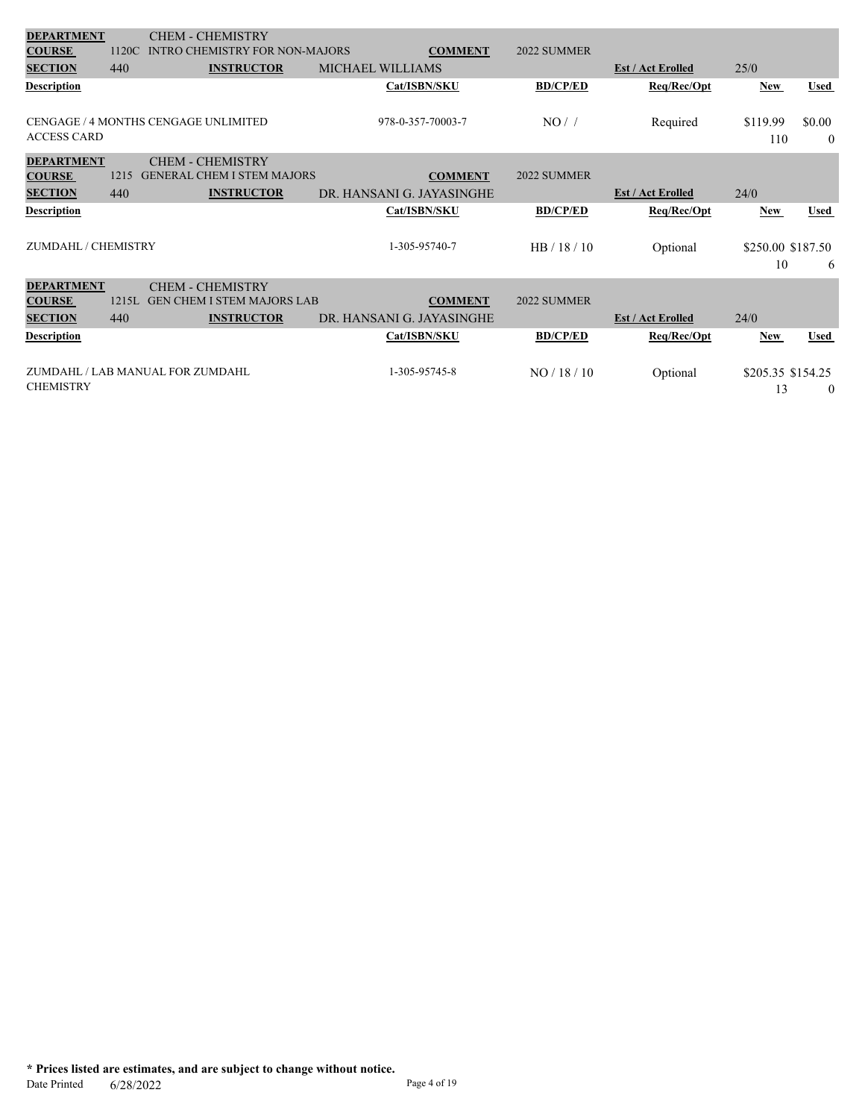| <b>DEPARTMENT</b>   |       | <b>CHEM - CHEMISTRY</b>               |                           |                 |                          |                         |                    |
|---------------------|-------|---------------------------------------|---------------------------|-----------------|--------------------------|-------------------------|--------------------|
| <b>COURSE</b>       | 1120C | <b>INTRO CHEMISTRY FOR NON-MAJORS</b> | <b>COMMENT</b>            | 2022 SUMMER     |                          |                         |                    |
| <b>SECTION</b>      | 440   | <b>INSTRUCTOR</b>                     | MICHAEL WILLIAMS          |                 | <b>Est / Act Erolled</b> | 25/0                    |                    |
| Description         |       |                                       | Cat/ISBN/SKU              | <b>BD/CP/ED</b> | Req/Rec/Opt              | <b>New</b>              | <b>Used</b>        |
| <b>ACCESS CARD</b>  |       | CENGAGE / 4 MONTHS CENGAGE UNLIMITED  | 978-0-357-70003-7         | NO/             | Required                 | \$119.99<br>110         | \$0.00<br>$\theta$ |
| <b>DEPARTMENT</b>   |       | <b>CHEM - CHEMISTRY</b>               |                           |                 |                          |                         |                    |
| <b>COURSE</b>       | 1215  | <b>GENERAL CHEM I STEM MAJORS</b>     | <b>COMMENT</b>            | 2022 SUMMER     |                          |                         |                    |
| <b>SECTION</b>      | 440   | <b>INSTRUCTOR</b>                     | DR. HANSANI G. JAYASINGHE |                 | <b>Est / Act Erolled</b> | 24/0                    |                    |
| <b>Description</b>  |       |                                       | Cat/ISBN/SKU              | <b>BD/CP/ED</b> | Req/Rec/Opt              | New                     | <b>Used</b>        |
| ZUMDAHL / CHEMISTRY |       |                                       | 1-305-95740-7             | HB / 18 / 10    | Optional                 | \$250.00 \$187.50<br>10 | 6                  |
| <b>DEPARTMENT</b>   |       | <b>CHEM - CHEMISTRY</b>               |                           |                 |                          |                         |                    |
| <b>COURSE</b>       | 1215L | <b>GEN CHEM I STEM MAJORS LAB</b>     | <b>COMMENT</b>            | 2022 SUMMER     |                          |                         |                    |
| <b>SECTION</b>      | 440   | <b>INSTRUCTOR</b>                     | DR. HANSANI G. JAYASINGHE |                 | <b>Est / Act Erolled</b> | 24/0                    |                    |
| <b>Description</b>  |       |                                       | Cat/ISBN/SKU              | <b>BD/CP/ED</b> | Req/Rec/Opt              | <b>New</b>              | <b>Used</b>        |
| <b>CHEMISTRY</b>    |       | ZUMDAHL / LAB MANUAL FOR ZUMDAHL      | 1-305-95745-8             | NO/18/10        | Optional                 | \$205.35 \$154.25<br>13 | $\theta$           |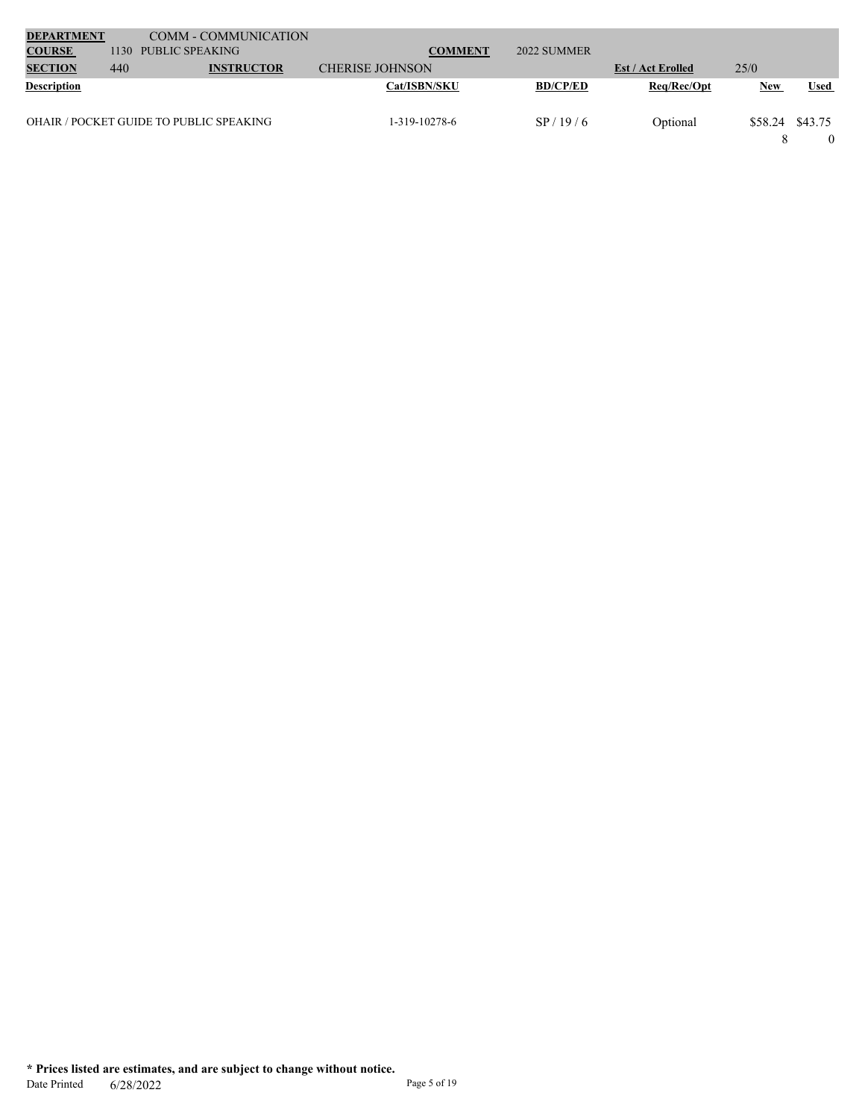| <b>DEPARTMENT</b>  |      | <b>COMM - COMMUNICATION</b>             |                        |                 |                          |                 |             |
|--------------------|------|-----------------------------------------|------------------------|-----------------|--------------------------|-----------------|-------------|
| <b>COURSE</b>      | 1130 | PUBLIC SPEAKING                         | <b>COMMENT</b>         | 2022 SUMMER     |                          |                 |             |
| <b>SECTION</b>     | 440  | <b>INSTRUCTOR</b>                       | <b>CHERISE JOHNSON</b> |                 | <b>Est / Act Erolled</b> | 25/0            |             |
| <b>Description</b> |      |                                         | <b>Cat/ISBN/SKU</b>    | <b>BD/CP/ED</b> | Req/Rec/Opt              | <b>New</b>      | <b>Used</b> |
|                    |      |                                         |                        |                 |                          |                 |             |
|                    |      | OHAIR / POCKET GUIDE TO PUBLIC SPEAKING | 1-319-10278-6          | SP/19/6         | Optional                 | \$58.24 \$43.75 |             |
|                    |      |                                         |                        |                 |                          |                 |             |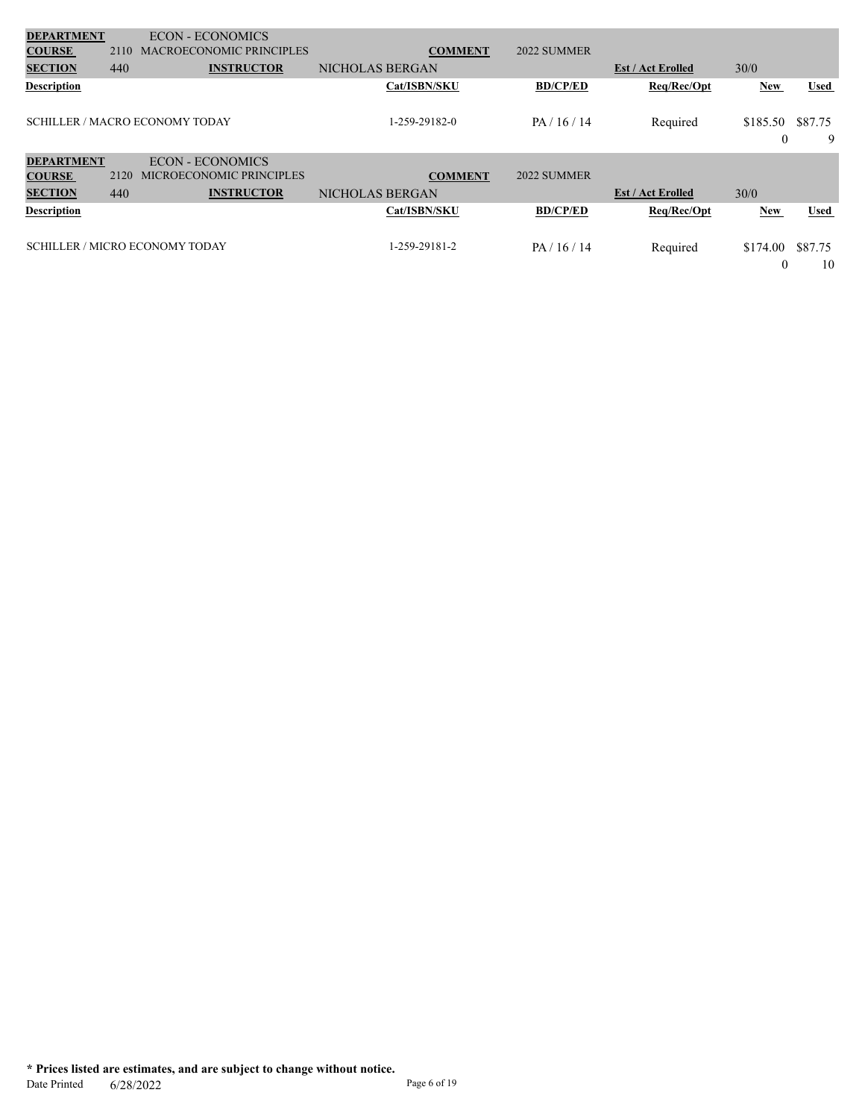| <b>DEPARTMENT</b>  |      | <b>ECON - ECONOMICS</b>               |                 |                 |                          |               |               |
|--------------------|------|---------------------------------------|-----------------|-----------------|--------------------------|---------------|---------------|
| <b>COURSE</b>      | 2110 | <b>MACROECONOMIC PRINCIPLES</b>       | <b>COMMENT</b>  | 2022 SUMMER     |                          |               |               |
| <b>SECTION</b>     | 440  | <b>INSTRUCTOR</b>                     | NICHOLAS BERGAN |                 | <b>Est / Act Erolled</b> | 30/0          |               |
| <b>Description</b> |      |                                       | Cat/ISBN/SKU    | <b>BD/CP/ED</b> | Req/Rec/Opt              | <b>New</b>    | <b>Used</b>   |
|                    |      | <b>SCHILLER / MACRO ECONOMY TODAY</b> | 1-259-29182-0   | PA/16/14        | Required                 | \$185.50<br>0 | \$87.75<br>9  |
| <b>DEPARTMENT</b>  |      | <b>ECON - ECONOMICS</b>               |                 |                 |                          |               |               |
| <b>COURSE</b>      | 2120 | <b>MICROECONOMIC PRINCIPLES</b>       | <b>COMMENT</b>  | 2022 SUMMER     |                          |               |               |
| <b>SECTION</b>     | 440  | <b>INSTRUCTOR</b>                     | NICHOLAS BERGAN |                 | <b>Est / Act Erolled</b> | 30/0          |               |
| <b>Description</b> |      |                                       | Cat/ISBN/SKU    | <b>BD/CP/ED</b> | Req/Rec/Opt              | New           | <b>Used</b>   |
|                    |      | <b>SCHILLER / MICRO ECONOMY TODAY</b> | 1-259-29181-2   | PA/16/14        | Required                 | \$174.00<br>0 | \$87.75<br>10 |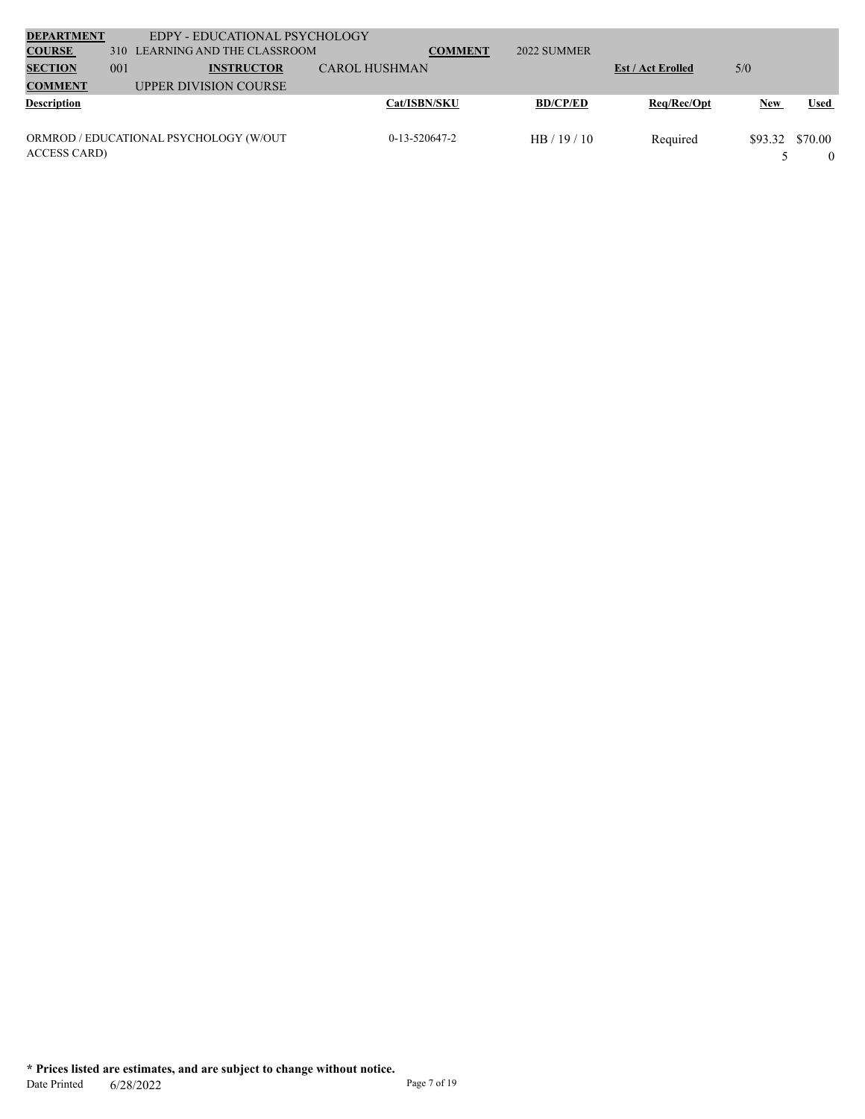| <b>DEPARTMENT</b><br><b>COURSE</b> | 310 | <b>EDPY - EDUCATIONAL PSYCHOLOGY</b><br>LEARNING AND THE CLASSROOM |                      | <b>COMMENT</b> | 2022 SUMMER     |                          |         |             |
|------------------------------------|-----|--------------------------------------------------------------------|----------------------|----------------|-----------------|--------------------------|---------|-------------|
| <b>SECTION</b>                     | 001 | <b>INSTRUCTOR</b>                                                  | <b>CAROL HUSHMAN</b> |                |                 | <b>Est / Act Erolled</b> | 5/0     |             |
| <b>COMMENT</b>                     |     | UPPER DIVISION COURSE                                              |                      |                |                 |                          |         |             |
| <b>Description</b>                 |     |                                                                    | Cat/ISBN/SKU         |                | <b>BD/CP/ED</b> | Req/Rec/Opt              | New     | <b>Used</b> |
|                                    |     |                                                                    |                      |                |                 |                          |         |             |
|                                    |     | ORMROD / EDUCATIONAL PSYCHOLOGY (W/OUT                             | $0-13-520647-2$      |                | HB/19/10        | Required                 | \$93.32 | \$70.00     |
| <b>ACCESS CARD</b>                 |     |                                                                    |                      |                |                 |                          |         |             |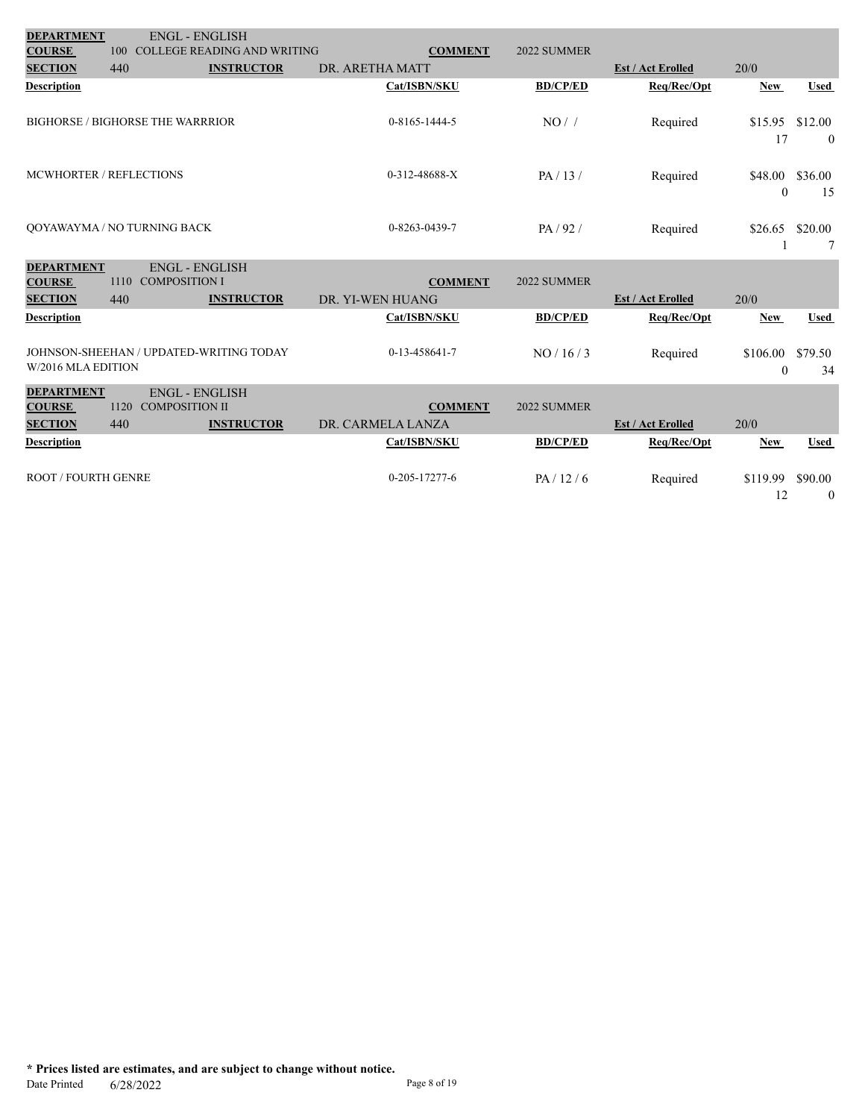| <b>DEPARTMENT</b>          | <b>ENGL - ENGLISH</b>                                  |                                    |                       |                 |                          |               |                           |
|----------------------------|--------------------------------------------------------|------------------------------------|-----------------------|-----------------|--------------------------|---------------|---------------------------|
| <b>COURSE</b>              | 100                                                    | <b>COLLEGE READING AND WRITING</b> | <b>COMMENT</b>        | 2022 SUMMER     |                          |               |                           |
| <b>SECTION</b>             | 440                                                    | <b>INSTRUCTOR</b>                  | DR. ARETHA MATT       |                 | <b>Est / Act Erolled</b> | 20/0          |                           |
| <b>Description</b>         |                                                        |                                    | Cat/ISBN/SKU          | <b>BD/CP/ED</b> | Req/Rec/Opt              | <b>New</b>    | <b>Used</b>               |
|                            | <b>BIGHORSE / BIGHORSE THE WARRRIOR</b>                |                                    | $0 - 8165 - 1444 - 5$ | NO/             | Required                 | \$15.95<br>17 | \$12.00<br>$\overline{0}$ |
| MCWHORTER / REFLECTIONS    |                                                        |                                    | 0-312-48688-X         | PA/13/          | Required                 | \$48.00       | \$36.00                   |
|                            |                                                        |                                    |                       |                 |                          | $\theta$      | 15                        |
|                            | QOYAWAYMA / NO TURNING BACK                            |                                    | 0-8263-0439-7         | PA/92/          | Required                 | \$26.65       | \$20.00                   |
|                            |                                                        |                                    |                       |                 |                          |               | 7                         |
| <b>DEPARTMENT</b>          | <b>ENGL - ENGLISH</b>                                  |                                    |                       |                 |                          |               |                           |
| <b>COURSE</b>              | <b>COMPOSITION I</b><br>1110                           |                                    | <b>COMMENT</b>        | 2022 SUMMER     |                          |               |                           |
| <b>SECTION</b>             | 440                                                    | <b>INSTRUCTOR</b>                  | DR. YI-WEN HUANG      |                 | <b>Est / Act Erolled</b> | 20/0          |                           |
| <b>Description</b>         |                                                        |                                    | Cat/ISBN/SKU          | <b>BD/CP/ED</b> | Req/Rec/Opt              | <b>New</b>    | <b>Used</b>               |
|                            |                                                        |                                    |                       |                 |                          |               |                           |
|                            | JOHNSON-SHEEHAN / UPDATED-WRITING TODAY                |                                    | 0-13-458641-7         | NO/16/3         | Required                 | \$106.00      | \$79.50                   |
| W/2016 MLA EDITION         |                                                        |                                    |                       |                 |                          | $\theta$      | 34                        |
|                            |                                                        |                                    |                       |                 |                          |               |                           |
| <b>DEPARTMENT</b>          |                                                        |                                    |                       |                 |                          |               |                           |
| <b>COURSE</b>              | <b>ENGL - ENGLISH</b><br>1120<br><b>COMPOSITION II</b> |                                    | <b>COMMENT</b>        | 2022 SUMMER     |                          |               |                           |
| <b>SECTION</b>             | 440                                                    | <b>INSTRUCTOR</b>                  | DR. CARMELA LANZA     |                 | <b>Est / Act Erolled</b> | 20/0          |                           |
| <b>Description</b>         |                                                        |                                    | Cat/ISBN/SKU          | <b>BD/CP/ED</b> | Req/Rec/Opt              | New           | <b>Used</b>               |
|                            |                                                        |                                    |                       |                 |                          |               |                           |
| <b>ROOT / FOURTH GENRE</b> |                                                        |                                    | $0 - 205 - 17277 - 6$ | PA/12/6         | Required                 | \$119.99      | \$90.00                   |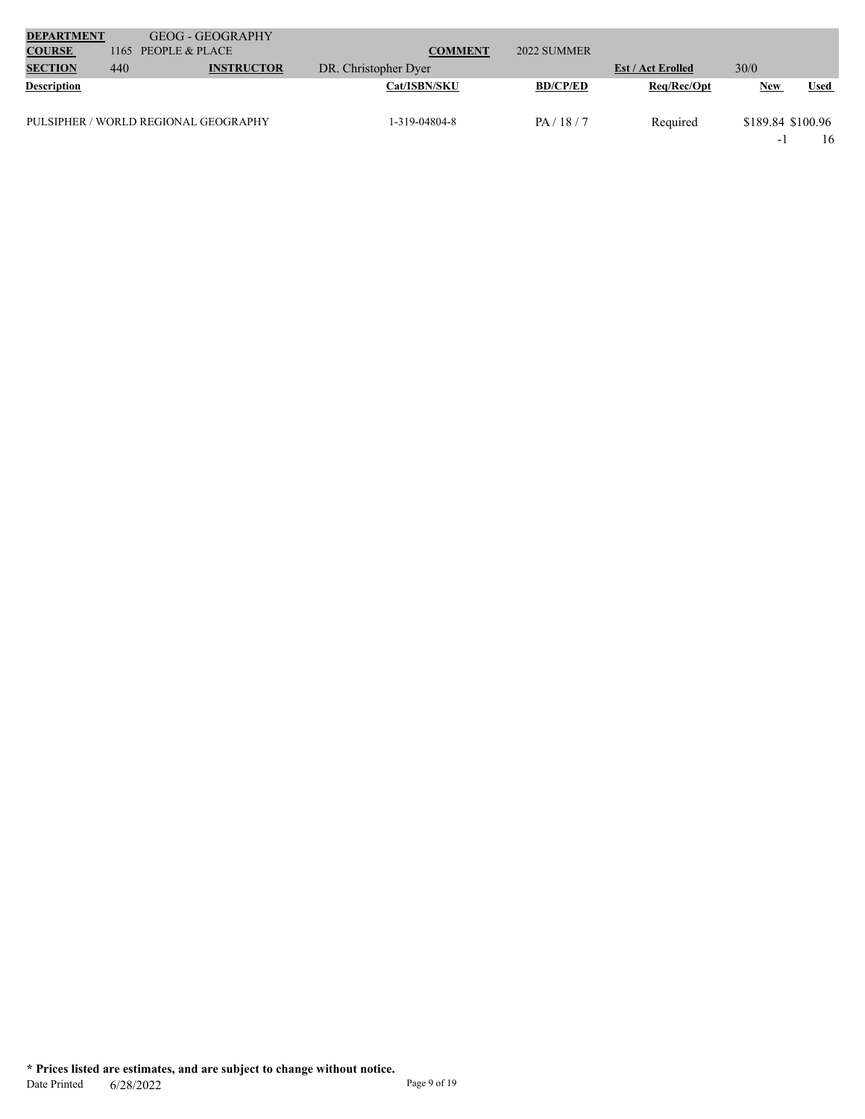| <b>DEPARTMENT</b>  |      | <b>GEOG - GEOGRAPHY</b>              |                      |                 |                          |                          |             |
|--------------------|------|--------------------------------------|----------------------|-----------------|--------------------------|--------------------------|-------------|
| <b>COURSE</b>      | 1165 | PEOPLE & PLACE                       | <b>COMMENT</b>       | 2022 SUMMER     |                          |                          |             |
| <b>SECTION</b>     | 440  | <b>INSTRUCTOR</b>                    | DR. Christopher Dyer |                 | <b>Est / Act Erolled</b> | 30/0                     |             |
| <b>Description</b> |      |                                      | <b>Cat/ISBN/SKU</b>  | <b>BD/CP/ED</b> | Req/Rec/Opt              | <b>New</b>               | <b>Used</b> |
|                    |      | PULSIPHER / WORLD REGIONAL GEOGRAPHY | 1-319-04804-8        | PA/18/7         | Required                 | \$189.84 \$100.96        |             |
|                    |      |                                      |                      |                 |                          | $\overline{\phantom{0}}$ | 16          |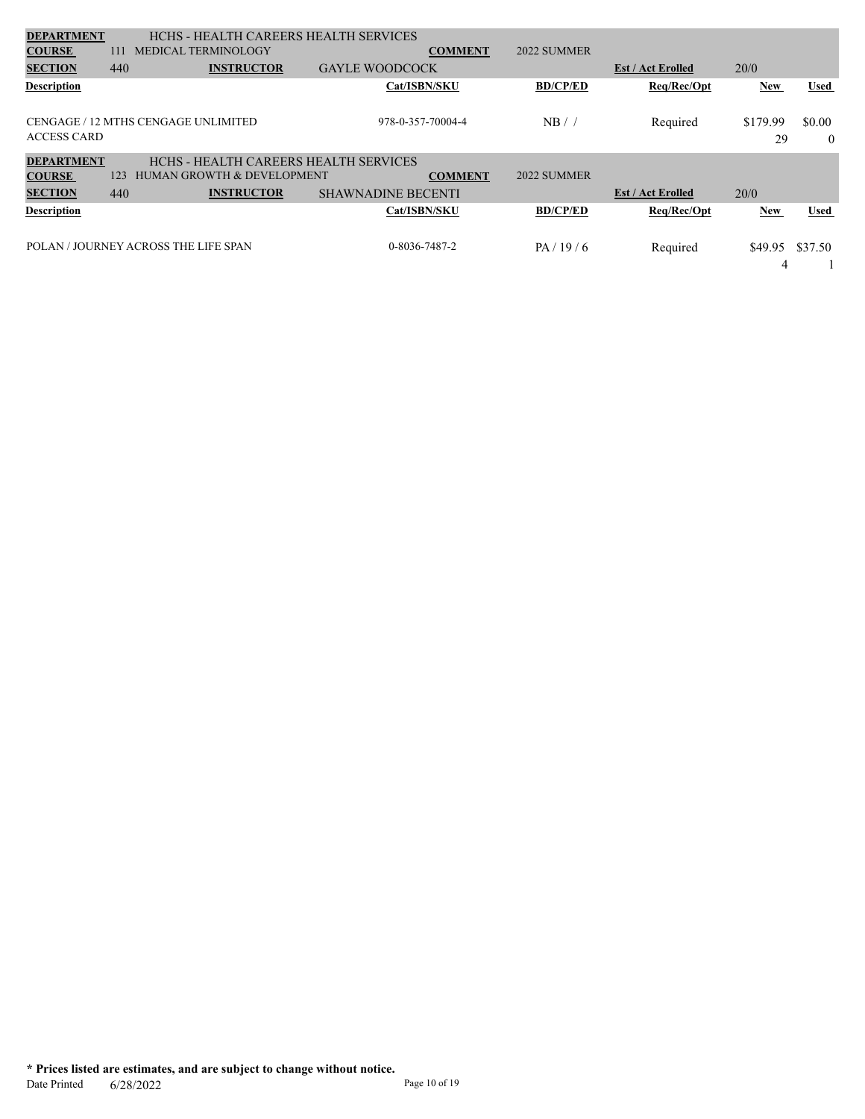| <b>DEPARTMENT</b>  |     | HCHS - HEALTH CAREERS HEALTH SERVICES |                           |                |                 |                          |          |          |
|--------------------|-----|---------------------------------------|---------------------------|----------------|-----------------|--------------------------|----------|----------|
| <b>COURSE</b>      | 111 | <b>MEDICAL TERMINOLOGY</b>            |                           | <b>COMMENT</b> | 2022 SUMMER     |                          |          |          |
| <b>SECTION</b>     | 440 | <b>INSTRUCTOR</b>                     | <b>GAYLE WOODCOCK</b>     |                |                 | <b>Est / Act Erolled</b> | 20/0     |          |
| <b>Description</b> |     |                                       | Cat/ISBN/SKU              |                | <b>BD/CP/ED</b> | Req/Rec/Opt              | New      | Used     |
|                    |     |                                       |                           |                |                 |                          |          |          |
|                    |     | CENGAGE / 12 MTHS CENGAGE UNLIMITED   | 978-0-357-70004-4         |                | NB/             | Required                 | \$179.99 | \$0.00   |
| <b>ACCESS CARD</b> |     |                                       |                           |                |                 |                          | 29       | $\theta$ |
| <b>DEPARTMENT</b>  |     | HCHS - HEALTH CAREERS HEALTH SERVICES |                           |                |                 |                          |          |          |
| <b>COURSE</b>      | 123 | <b>HUMAN GROWTH &amp; DEVELOPMENT</b> |                           | <b>COMMENT</b> | 2022 SUMMER     |                          |          |          |
| <b>SECTION</b>     | 440 | <b>INSTRUCTOR</b>                     | <b>SHAWNADINE BECENTI</b> |                |                 | <b>Est / Act Erolled</b> | 20/0     |          |
| <b>Description</b> |     |                                       | Cat/ISBN/SKU              |                | <b>BD/CP/ED</b> | Req/Rec/Opt              | New      | Used     |
|                    |     |                                       |                           |                |                 |                          |          |          |
|                    |     | POLAN / JOURNEY ACROSS THE LIFE SPAN  | 0-8036-7487-2             |                | PA/19/6         | Required                 | \$49.95  | \$37.50  |
|                    |     |                                       |                           |                |                 |                          | 4        |          |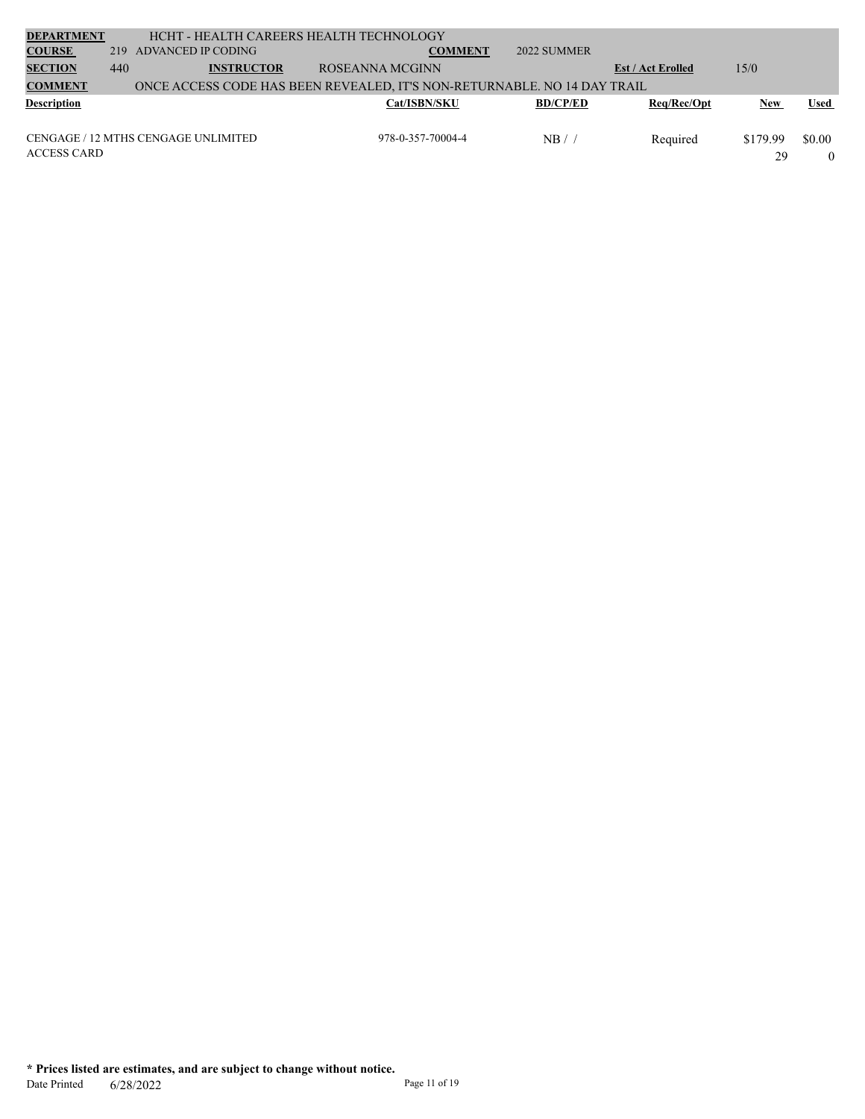| <b>DEPARTMENT</b>  |     | HCHT - HEALTH CAREERS HEALTH TECHNOLOGY |                                                                          |                 |                          |          |             |
|--------------------|-----|-----------------------------------------|--------------------------------------------------------------------------|-----------------|--------------------------|----------|-------------|
| <b>COURSE</b>      | 219 | ADVANCED IP CODING                      | <b>COMMENT</b>                                                           | 2022 SUMMER     |                          |          |             |
| <b>SECTION</b>     | 440 | <b>INSTRUCTOR</b>                       | ROSEANNA MCGINN                                                          |                 | <b>Est / Act Erolled</b> | 15/0     |             |
| <b>COMMENT</b>     |     |                                         | ONCE ACCESS CODE HAS BEEN REVEALED, IT'S NON-RETURNABLE. NO 14 DAY TRAIL |                 |                          |          |             |
| <b>Description</b> |     |                                         | <b>Cat/ISBN/SKU</b>                                                      | <b>BD/CP/ED</b> | Reg/Rec/Opt              | New      | <b>Used</b> |
|                    |     |                                         |                                                                          |                 |                          |          |             |
|                    |     | CENGAGE / 12 MTHS CENGAGE UNLIMITED     | 978-0-357-70004-4                                                        | NB/             | Required                 | \$179.99 | \$0.00      |
| <b>ACCESS CARD</b> |     |                                         |                                                                          |                 |                          | 29       |             |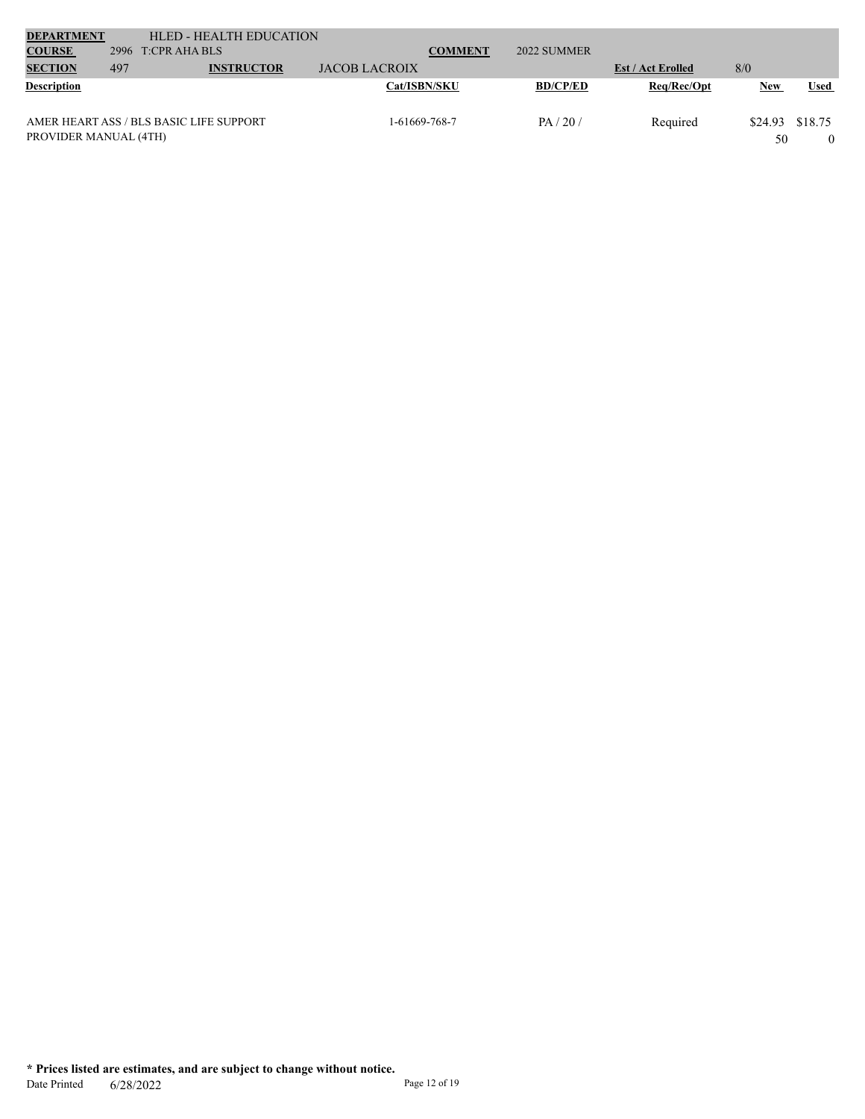| <b>DEPARTMENT</b>     |     | HLED - HEALTH EDUCATION                 |                      |                 |                          |            |             |
|-----------------------|-----|-----------------------------------------|----------------------|-----------------|--------------------------|------------|-------------|
| <b>COURSE</b>         |     | 2996 $T:CPR$ AHA BLS                    | <b>COMMENT</b>       | 2022 SUMMER     |                          |            |             |
| <b>SECTION</b>        | 497 | <b>INSTRUCTOR</b>                       | <b>JACOB LACROIX</b> |                 | <b>Est / Act Erolled</b> | 8/0        |             |
| <b>Description</b>    |     |                                         | <b>Cat/ISBN/SKU</b>  | <b>BD/CP/ED</b> | Req/Rec/Opt              | <b>New</b> | <b>Used</b> |
|                       |     |                                         |                      |                 |                          |            |             |
|                       |     | AMER HEART ASS / BLS BASIC LIFE SUPPORT | 1-61669-768-7        | PA/20/          | Required                 | \$24.93    | \$18.75     |
| PROVIDER MANUAL (4TH) |     |                                         |                      |                 |                          | 50         |             |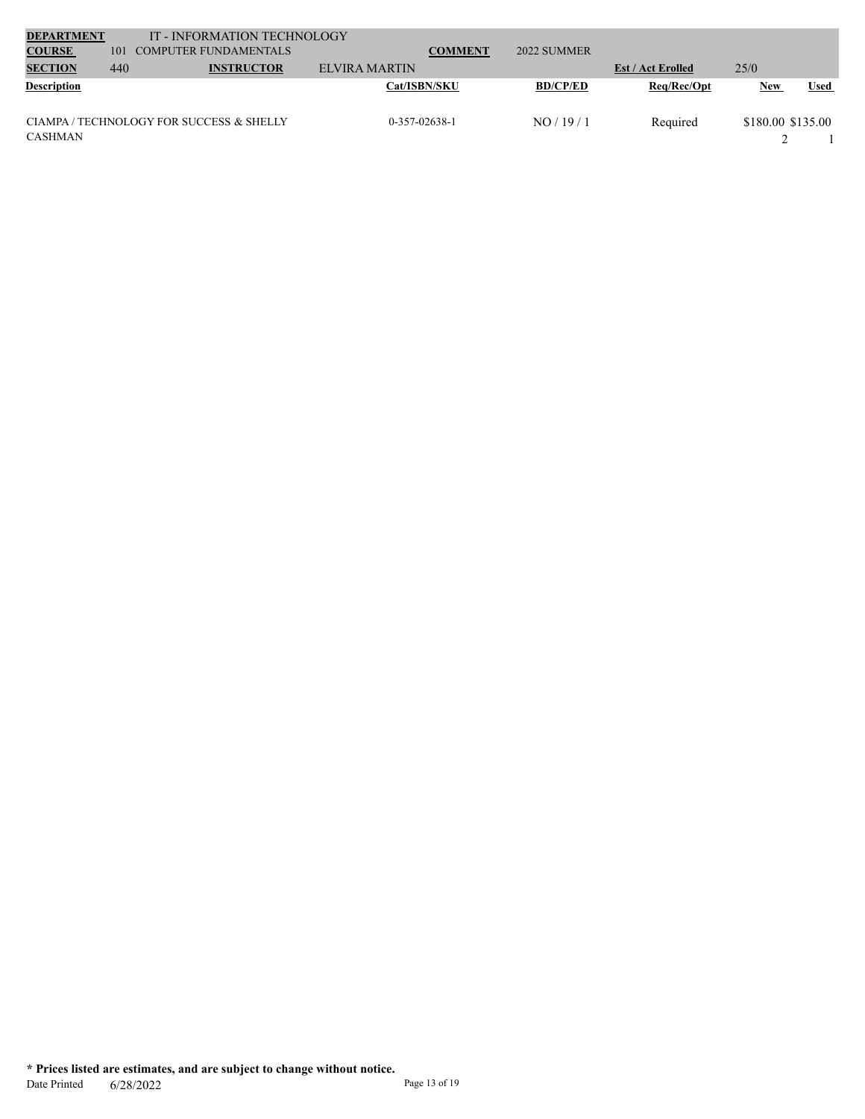| <b>DEPARTMENT</b>  |     | IT - INFORMATION TECHNOLOGY              |                     |                 |                          |                   |             |
|--------------------|-----|------------------------------------------|---------------------|-----------------|--------------------------|-------------------|-------------|
| <b>COURSE</b>      | 101 | COMPUTER FUNDAMENTALS                    | <b>COMMENT</b>      | 2022 SUMMER     |                          |                   |             |
| <b>SECTION</b>     | 440 | <b>INSTRUCTOR</b>                        | ELVIRA MARTIN       |                 | <b>Est / Act Erolled</b> | 25/0              |             |
| <b>Description</b> |     |                                          | <b>Cat/ISBN/SKU</b> | <b>BD/CP/ED</b> | Req/Rec/Opt              | New               | <b>Used</b> |
|                    |     | CIAMPA / TECHNOLOGY FOR SUCCESS & SHELLY | 0-357-02638-1       | NO/19/1         | Required                 | \$180.00 \$135.00 |             |
| CASHMAN            |     |                                          |                     |                 |                          |                   |             |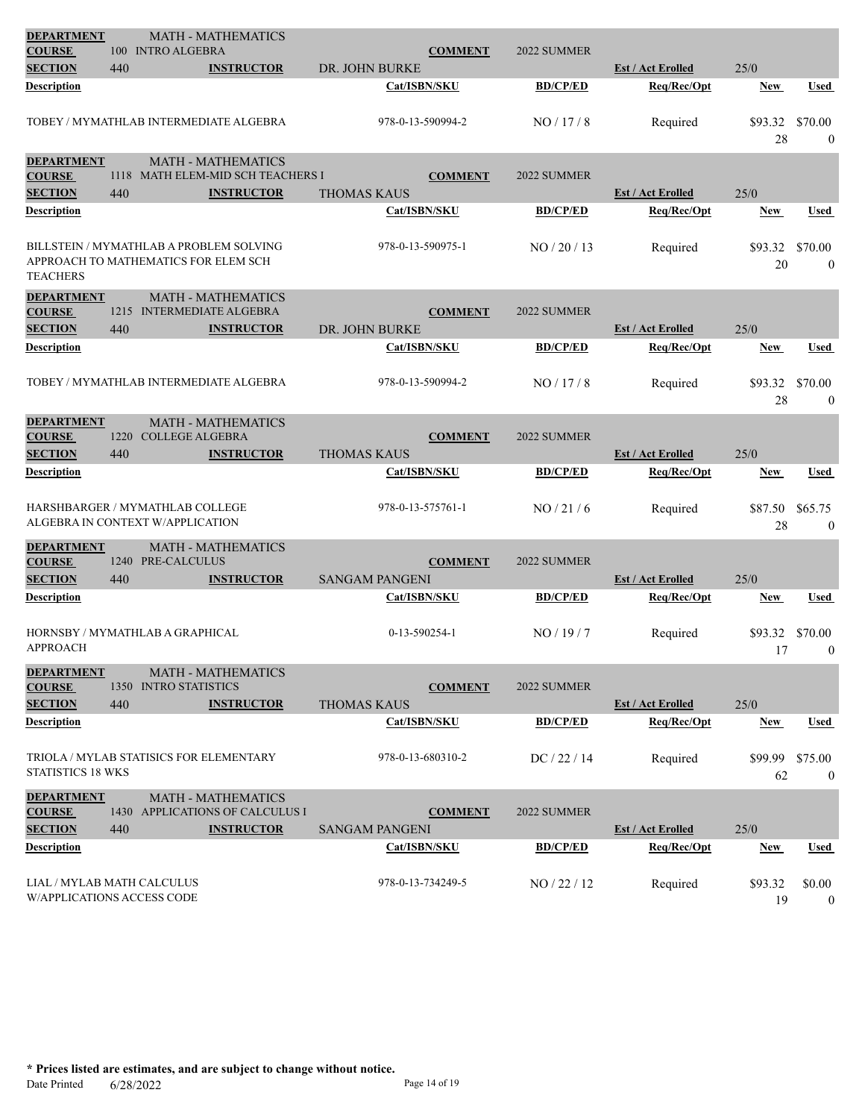| <b>DEPARTMENT</b>                                        |      | <b>MATH - MATHEMATICS</b>                                                       |                   |                       |                   |                 |                                         |               |                             |
|----------------------------------------------------------|------|---------------------------------------------------------------------------------|-------------------|-----------------------|-------------------|-----------------|-----------------------------------------|---------------|-----------------------------|
| <b>COURSE</b><br><b>SECTION</b>                          | 440  | 100 INTRO ALGEBRA                                                               | <b>INSTRUCTOR</b> | DR. JOHN BURKE        | <b>COMMENT</b>    | 2022 SUMMER     | <b>Est / Act Erolled</b>                | 25/0          |                             |
| Description                                              |      |                                                                                 |                   |                       | Cat/ISBN/SKU      | <b>BD/CP/ED</b> | Req/Rec/Opt                             | <b>New</b>    | Used                        |
|                                                          |      |                                                                                 |                   |                       |                   |                 |                                         |               |                             |
|                                                          |      | TOBEY / MYMATHLAB INTERMEDIATE ALGEBRA                                          |                   |                       | 978-0-13-590994-2 | NO/17/8         | Required                                | \$93.32<br>28 | \$70.00<br>$\mathbf{0}$     |
| <b>DEPARTMENT</b>                                        |      |                                                                                 |                   |                       |                   |                 |                                         |               |                             |
| <b>COURSE</b>                                            |      | <b>MATH - MATHEMATICS</b><br>1118 MATH ELEM-MID SCH TEACHERS I                  |                   |                       | <b>COMMENT</b>    | 2022 SUMMER     |                                         |               |                             |
| <b>SECTION</b>                                           | 440  |                                                                                 | <b>INSTRUCTOR</b> | <b>THOMAS KAUS</b>    |                   |                 | <b>Est / Act Erolled</b>                | 25/0          |                             |
| Description                                              |      |                                                                                 |                   |                       | Cat/ISBN/SKU      | <b>BD/CP/ED</b> | Req/Rec/Opt                             | <b>New</b>    | Used                        |
| <b>TEACHERS</b>                                          |      | BILLSTEIN / MYMATHLAB A PROBLEM SOLVING<br>APPROACH TO MATHEMATICS FOR ELEM SCH |                   |                       | 978-0-13-590975-1 | NO / 20 / 13    | Required                                | \$93.32<br>20 | \$70.00<br>$\mathbf{0}$     |
| <b>DEPARTMENT</b>                                        |      | <b>MATH - MATHEMATICS</b>                                                       |                   |                       |                   |                 |                                         |               |                             |
| <b>COURSE</b>                                            |      | 1215 INTERMEDIATE ALGEBRA                                                       |                   |                       | <b>COMMENT</b>    | 2022 SUMMER     |                                         |               |                             |
| <b>SECTION</b><br>Description                            | 440  |                                                                                 | <b>INSTRUCTOR</b> | DR. JOHN BURKE        | Cat/ISBN/SKU      | <b>BD/CP/ED</b> | <b>Est / Act Erolled</b><br>Req/Rec/Opt | 25/0          |                             |
|                                                          |      |                                                                                 |                   |                       |                   |                 |                                         | <b>New</b>    | Used                        |
|                                                          |      | TOBEY / MYMATHLAB INTERMEDIATE ALGEBRA                                          |                   |                       | 978-0-13-590994-2 | NO/17/8         | Required                                | \$93.32<br>28 | \$70.00<br>$\boldsymbol{0}$ |
| <b>DEPARTMENT</b>                                        |      | <b>MATH - MATHEMATICS</b>                                                       |                   |                       |                   |                 |                                         |               |                             |
| <b>COURSE</b>                                            | 1220 | <b>COLLEGE ALGEBRA</b>                                                          |                   |                       | <b>COMMENT</b>    | 2022 SUMMER     |                                         |               |                             |
| <b>SECTION</b>                                           | 440  |                                                                                 | <b>INSTRUCTOR</b> | <b>THOMAS KAUS</b>    |                   |                 | <b>Est / Act Erolled</b>                | 25/0          |                             |
| Description                                              |      |                                                                                 |                   |                       | Cat/ISBN/SKU      | <b>BD/CP/ED</b> | Req/Rec/Opt                             | <b>New</b>    | Used                        |
|                                                          |      | HARSHBARGER / MYMATHLAB COLLEGE<br>ALGEBRA IN CONTEXT W/APPLICATION             |                   |                       | 978-0-13-575761-1 | NO/21/6         | Required                                | \$87.50<br>28 | \$65.75<br>$\mathbf{0}$     |
| <b>DEPARTMENT</b>                                        |      | <b>MATH - MATHEMATICS</b>                                                       |                   |                       |                   |                 |                                         |               |                             |
| <b>COURSE</b><br><b>SECTION</b>                          | 440  | 1240 PRE-CALCULUS                                                               | <b>INSTRUCTOR</b> | <b>SANGAM PANGENI</b> | <b>COMMENT</b>    | 2022 SUMMER     | <b>Est / Act Erolled</b>                | 25/0          |                             |
| Description                                              |      |                                                                                 |                   |                       | Cat/ISBN/SKU      | <b>BD/CP/ED</b> | Req/Rec/Opt                             | <b>New</b>    | <b>Used</b>                 |
|                                                          |      |                                                                                 |                   |                       |                   |                 |                                         |               |                             |
| <b>APPROACH</b>                                          |      | HORNSBY / MYMATHLAB A GRAPHICAL                                                 |                   |                       | 0-13-590254-1     | NO/19/7         | Required                                | \$93.32<br>17 | \$70.00<br>$\bf{0}$         |
| <b>DEPARTMENT</b>                                        |      | <b>MATH - MATHEMATICS</b>                                                       |                   |                       |                   |                 |                                         |               |                             |
| <b>COURSE</b>                                            |      | 1350 INTRO STATISTICS                                                           |                   |                       | <b>COMMENT</b>    | 2022 SUMMER     |                                         |               |                             |
| <b>SECTION</b>                                           | 440  |                                                                                 | <b>INSTRUCTOR</b> | <b>THOMAS KAUS</b>    |                   |                 | <b>Est / Act Erolled</b>                | 25/0          |                             |
| Description                                              |      |                                                                                 |                   |                       | Cat/ISBN/SKU      | <b>BD/CP/ED</b> | Req/Rec/Opt                             | New           | <b>Used</b>                 |
| STATISTICS 18 WKS                                        |      | TRIOLA / MYLAB STATISICS FOR ELEMENTARY                                         |                   |                       | 978-0-13-680310-2 | DC / 22 / 14    | Required                                | \$99.99<br>62 | \$75.00<br>$\overline{0}$   |
| <b>DEPARTMENT</b>                                        |      | <b>MATH - MATHEMATICS</b>                                                       |                   |                       |                   |                 |                                         |               |                             |
| <b>COURSE</b>                                            |      | 1430 APPLICATIONS OF CALCULUS I                                                 |                   |                       | <b>COMMENT</b>    | 2022 SUMMER     |                                         |               |                             |
| <b>SECTION</b>                                           | 440  |                                                                                 | <b>INSTRUCTOR</b> | <b>SANGAM PANGENI</b> |                   |                 | <b>Est / Act Erolled</b>                | 25/0          |                             |
| <b>Description</b>                                       |      |                                                                                 |                   |                       | Cat/ISBN/SKU      | <b>BD/CP/ED</b> | Req/Rec/Opt                             | New           | <b>Used</b>                 |
| LIAL / MYLAB MATH CALCULUS<br>W/APPLICATIONS ACCESS CODE |      |                                                                                 |                   |                       | 978-0-13-734249-5 | NO / 22 / 12    | Required                                | \$93.32<br>19 | \$0.00<br>$\bf{0}$          |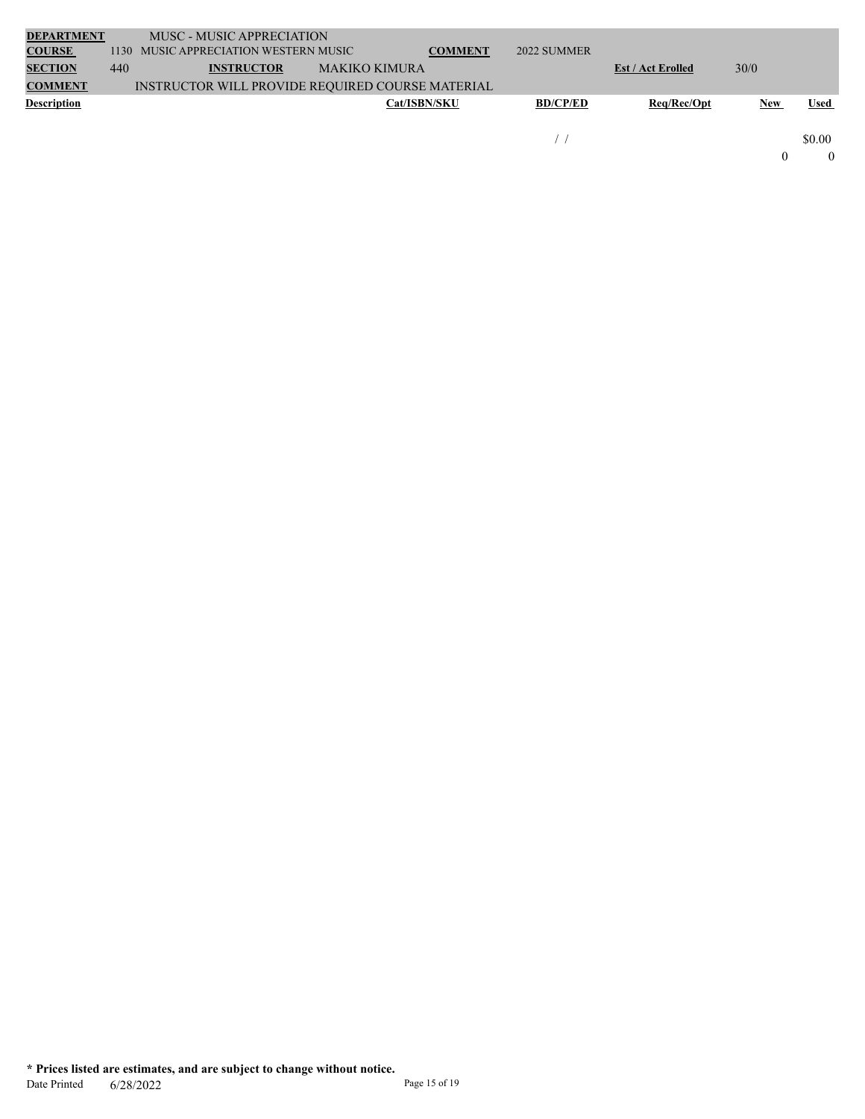| <b>DEPARTMENT</b>  |     | MUSC - MUSIC APPRECIATION                        |                      |                |                 |                          |      |             |
|--------------------|-----|--------------------------------------------------|----------------------|----------------|-----------------|--------------------------|------|-------------|
| <b>COURSE</b>      |     | 1130 MUSIC APPRECIATION WESTERN MUSIC            |                      | <b>COMMENT</b> | 2022 SUMMER     |                          |      |             |
| <b>SECTION</b>     | 440 | <b>INSTRUCTOR</b>                                | <b>MAKIKO KIMURA</b> |                |                 | <b>Est / Act Erolled</b> | 30/0 |             |
| <b>COMMENT</b>     |     | INSTRUCTOR WILL PROVIDE REQUIRED COURSE MATERIAL |                      |                |                 |                          |      |             |
| <b>Description</b> |     |                                                  | <b>Cat/ISBN/SKU</b>  |                | <b>BD/CP/ED</b> | Reg/Rec/Opt              | New  | <b>Used</b> |
|                    |     |                                                  |                      |                |                 |                          |      |             |
|                    |     |                                                  |                      |                |                 |                          |      | \$0.00      |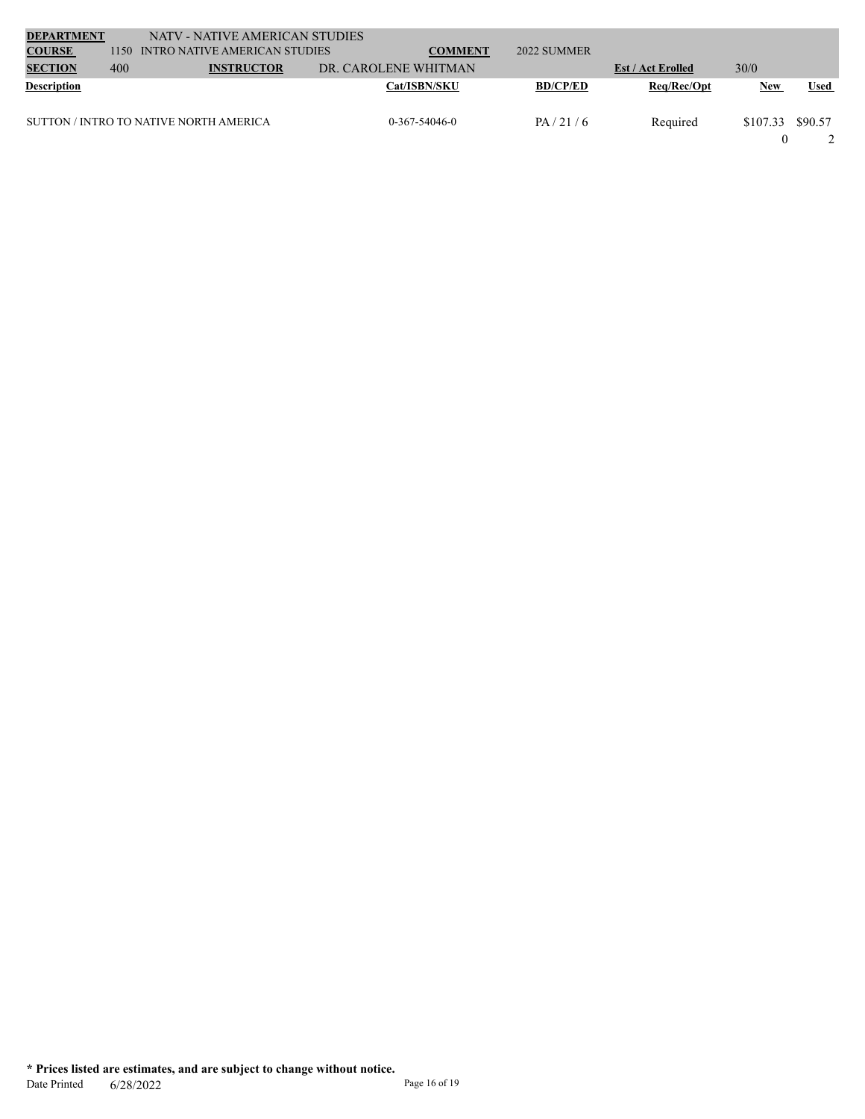| <b>DEPARTMENT</b>  |     | NATV - NATIVE AMERICAN STUDIES         |                      |                     |                 |                          |            |             |
|--------------------|-----|----------------------------------------|----------------------|---------------------|-----------------|--------------------------|------------|-------------|
| <b>COURSE</b>      |     | 1150 INTRO NATIVE AMERICAN STUDIES     |                      | <b>COMMENT</b>      | 2022 SUMMER     |                          |            |             |
| <b>SECTION</b>     | 400 | <b>INSTRUCTOR</b>                      | DR. CAROLENE WHITMAN |                     |                 | <b>Est / Act Erolled</b> | 30/0       |             |
| <b>Description</b> |     |                                        |                      | <b>Cat/ISBN/SKU</b> | <b>BD/CP/ED</b> | Req/Rec/Opt              | <b>New</b> | <b>Used</b> |
|                    |     | SUTTON / INTRO TO NATIVE NORTH AMERICA |                      | $0-367-54046-0$     | PA/21/6         | Required                 | \$107.33   | \$90.57     |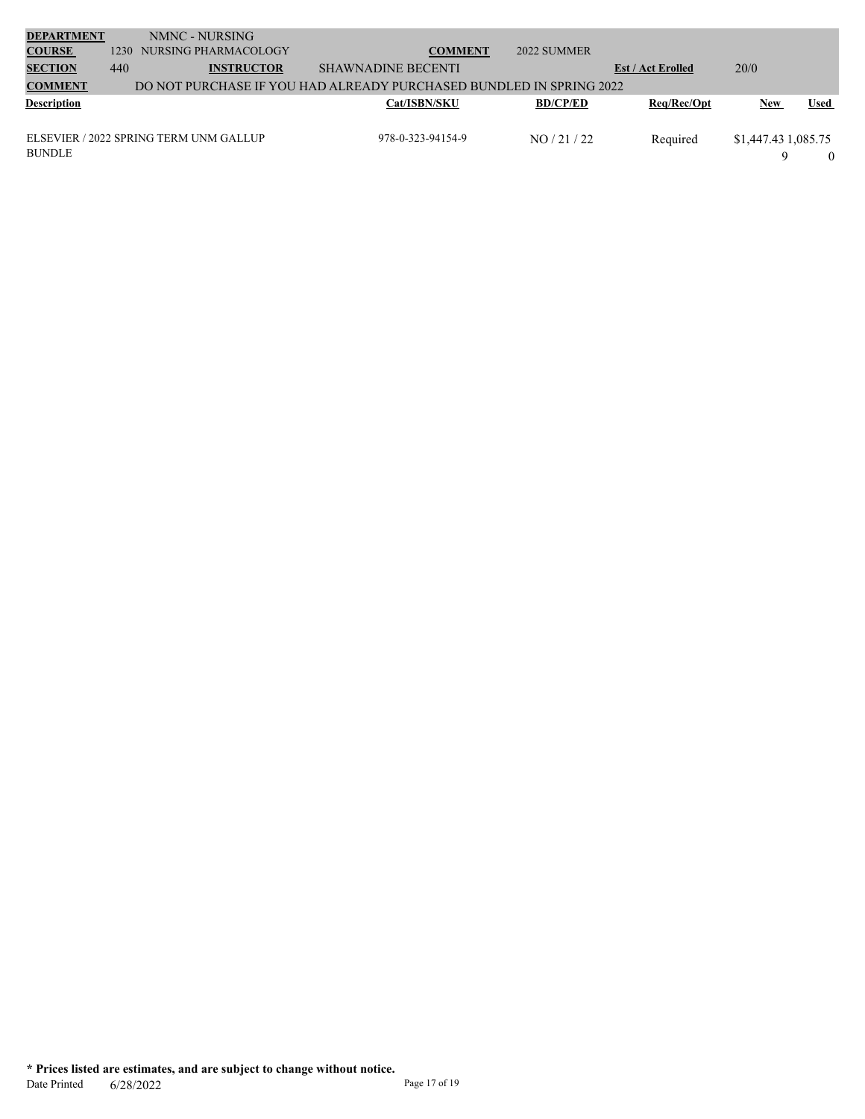| <b>DEPARTMENT</b><br><b>COURSE</b> | 1230 | NMNC - NURSING<br>NURSING PHARMACOLOGY | <b>COMMENT</b>                                                      | 2022 SUMMER     |                          |                     |             |
|------------------------------------|------|----------------------------------------|---------------------------------------------------------------------|-----------------|--------------------------|---------------------|-------------|
| <b>SECTION</b>                     | 440  | <b>INSTRUCTOR</b>                      | <b>SHAWNADINE BECENTI</b>                                           |                 | <b>Est / Act Erolled</b> | 20/0                |             |
| <b>COMMENT</b>                     |      |                                        | DO NOT PURCHASE IF YOU HAD ALREADY PURCHASED BUNDLED IN SPRING 2022 |                 |                          |                     |             |
| <b>Description</b>                 |      |                                        | <b>Cat/ISBN/SKU</b>                                                 | <b>BD/CP/ED</b> | Req/Rec/Opt              | <b>New</b>          | <b>Used</b> |
|                                    |      | ELSEVIER / 2022 SPRING TERM UNM GALLUP | 978-0-323-94154-9                                                   | NO / 21 / 22    | Required                 | \$1,447.43 1,085.75 |             |
| <b>BUNDLE</b>                      |      |                                        |                                                                     |                 |                          | Q                   |             |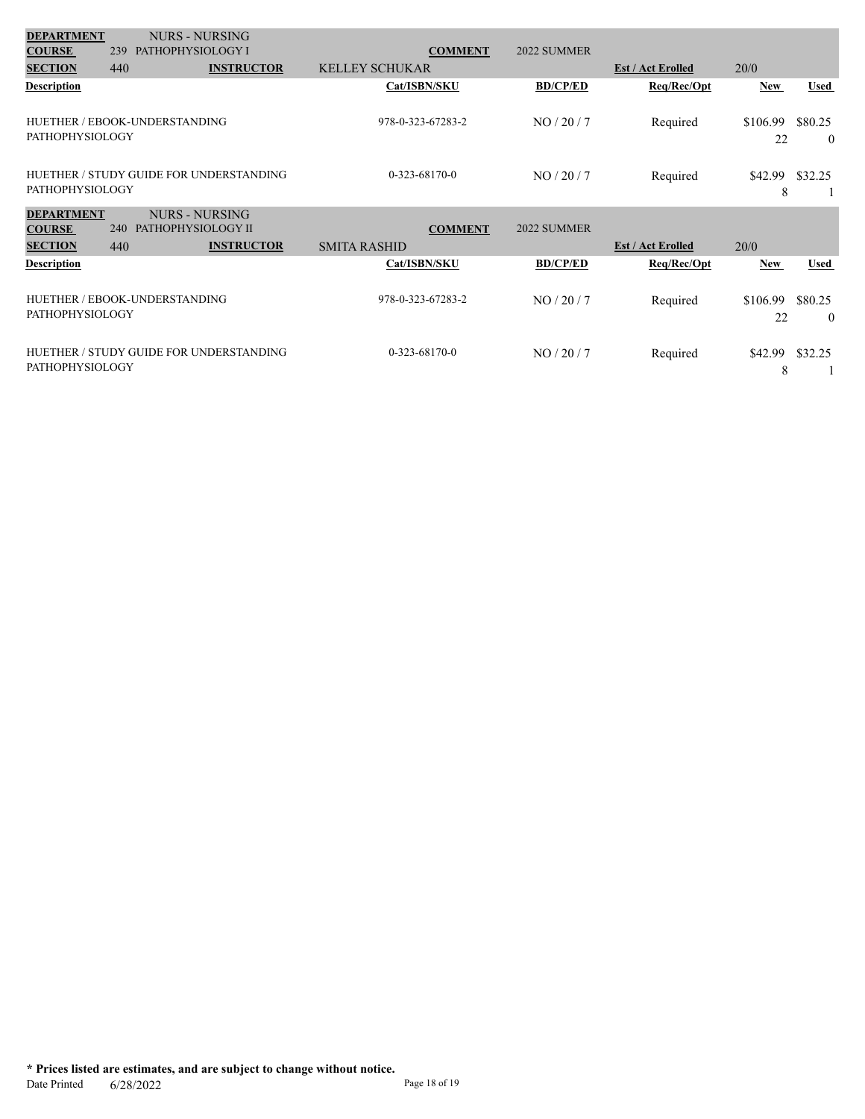| <b>DEPARTMENT</b>      |     | <b>NURS - NURSING</b>                   |                       |                 |                          |                |                           |
|------------------------|-----|-----------------------------------------|-----------------------|-----------------|--------------------------|----------------|---------------------------|
| <b>COURSE</b>          | 239 | PATHOPHYSIOLOGY I                       | <b>COMMENT</b>        | 2022 SUMMER     |                          |                |                           |
| <b>SECTION</b>         | 440 | <b>INSTRUCTOR</b>                       | <b>KELLEY SCHUKAR</b> |                 | <b>Est / Act Erolled</b> | 20/0           |                           |
| <b>Description</b>     |     |                                         | Cat/ISBN/SKU          | <b>BD/CP/ED</b> | Req/Rec/Opt              | <b>New</b>     | <b>Used</b>               |
| <b>PATHOPHYSIOLOGY</b> |     | HUETHER / EBOOK-UNDERSTANDING           | 978-0-323-67283-2     | NO/20/7         | Required                 | \$106.99<br>22 | \$80.25<br>$\overline{0}$ |
| <b>PATHOPHYSIOLOGY</b> |     | HUETHER / STUDY GUIDE FOR UNDERSTANDING | $0-323-68170-0$       | NO/20/7         | Required                 | \$42.99<br>8   | \$32.25                   |
| <b>DEPARTMENT</b>      |     | <b>NURS - NURSING</b>                   |                       |                 |                          |                |                           |
| <b>COURSE</b>          | 240 | PATHOPHYSIOLOGY II                      | <b>COMMENT</b>        | 2022 SUMMER     |                          |                |                           |
| <b>SECTION</b>         | 440 | <b>INSTRUCTOR</b>                       | <b>SMITA RASHID</b>   |                 | <b>Est / Act Erolled</b> | 20/0           |                           |
| <b>Description</b>     |     |                                         | Cat/ISBN/SKU          | <b>BD/CP/ED</b> | Req/Rec/Opt              | New            | <b>Used</b>               |
| <b>PATHOPHYSIOLOGY</b> |     | HUETHER / EBOOK-UNDERSTANDING           | 978-0-323-67283-2     | NO/20/7         | Required                 | \$106.99<br>22 | \$80.25<br>$\theta$       |
| <b>PATHOPHYSIOLOGY</b> |     | HUETHER / STUDY GUIDE FOR UNDERSTANDING | $0-323-68170-0$       | NO/20/7         | Required                 | \$42.99<br>8   | \$32.25                   |